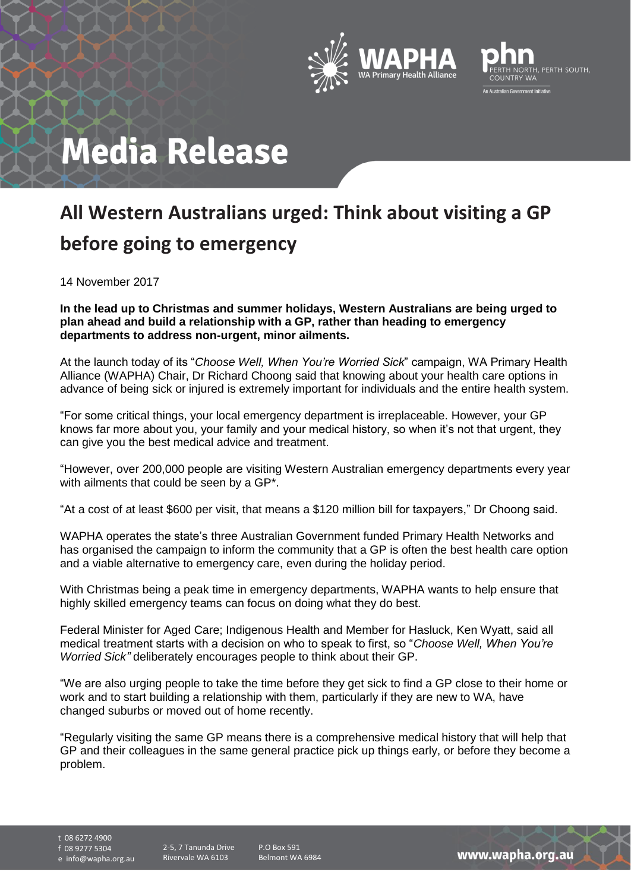



## **Media Release**

## **All Western Australians urged: Think about visiting a GP before going to emergency**

14 November 2017

**In the lead up to Christmas and summer holidays, Western Australians are being urged to plan ahead and build a relationship with a GP, rather than heading to emergency departments to address non-urgent, minor ailments.**

At the launch today of its "*Choose Well, When You're Worried Sick*" campaign, WA Primary Health Alliance (WAPHA) Chair, Dr Richard Choong said that knowing about your health care options in advance of being sick or injured is extremely important for individuals and the entire health system.

"For some critical things, your local emergency department is irreplaceable. However, your GP knows far more about you, your family and your medical history, so when it's not that urgent, they can give you the best medical advice and treatment.

"However, over 200,000 people are visiting Western Australian emergency departments every year with ailments that could be seen by a GP\*.

"At a cost of at least \$600 per visit, that means a \$120 million bill for taxpayers," Dr Choong said.

WAPHA operates the state's three Australian Government funded Primary Health Networks and has organised the campaign to inform the community that a GP is often the best health care option and a viable alternative to emergency care, even during the holiday period.

With Christmas being a peak time in emergency departments, WAPHA wants to help ensure that highly skilled emergency teams can focus on doing what they do best.

Federal Minister for Aged Care; Indigenous Health and Member for Hasluck, Ken Wyatt, said all medical treatment starts with a decision on who to speak to first, so "*Choose Well, When You're Worried Sick"* deliberately encourages people to think about their GP.

"We are also urging people to take the time before they get sick to find a GP close to their home or work and to start building a relationship with them, particularly if they are new to WA, have changed suburbs or moved out of home recently.

"Regularly visiting the same GP means there is a comprehensive medical history that will help that GP and their colleagues in the same general practice pick up things early, or before they become a problem.

t 08 6272 4900

f 08 9277 5304

e info@wapha.org.au

P.O Box 591 Belmont WA 6984

www.wapha.org.au